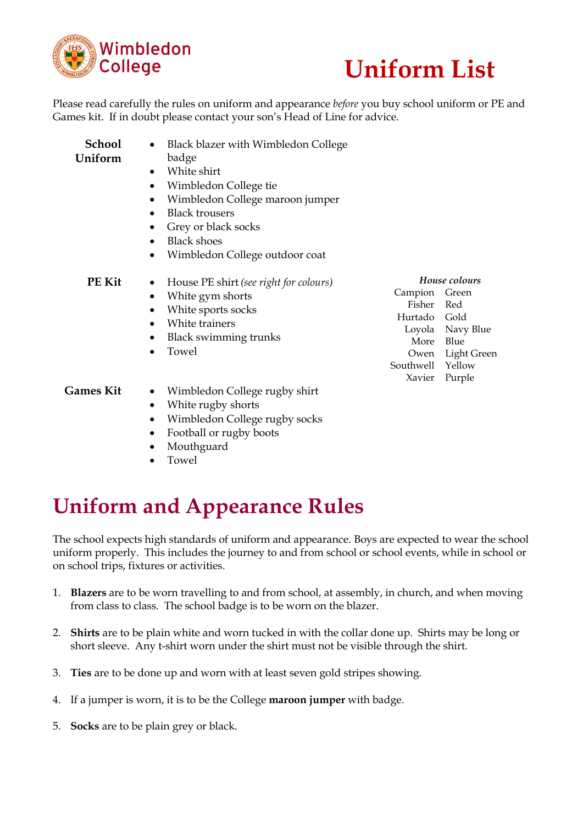



Please read carefully the rules on uniform and appearance *before* you buy school uniform or PE and Games kit. If in doubt please contact your son's Head of Line for advice.

| <b>School</b> | Black blazer with Wimbledon College                 |                   |                    |
|---------------|-----------------------------------------------------|-------------------|--------------------|
| Uniform       | badge                                               |                   |                    |
|               | White shirt<br>$\bullet$                            |                   |                    |
|               | Wimbledon College tie<br>٠                          |                   |                    |
|               | Wimbledon College maroon jumper<br>$\bullet$        |                   |                    |
|               | <b>Black trousers</b><br>$\bullet$                  |                   |                    |
|               | Grey or black socks<br>$\bullet$                    |                   |                    |
|               | <b>Black shoes</b><br>$\bullet$                     |                   |                    |
|               | Wimbledon College outdoor coat<br>$\bullet$         |                   |                    |
| PE Kit        | House PE shirt (see right for colours)<br>$\bullet$ | House colours     |                    |
|               | White gym shorts<br>$\bullet$                       | Campion           | Green              |
|               | White sports socks<br>$\bullet$                     | Fisher            | Red                |
|               | White trainers<br>$\bullet$                         | Hurtado Gold      |                    |
|               | <b>Black swimming trunks</b>                        |                   | Loyola Navy Bl     |
|               | Towel<br>$\bullet$                                  | More              | Blue               |
|               |                                                     | Owen<br>Southwell | Light Gr<br>Yellow |
|               |                                                     | Xavier            | Purple             |
| Games Kit     | Wimbledon College rugby shirt<br>$\bullet$          |                   |                    |
|               | White rugby shorts<br>$\bullet$                     |                   |                    |
|               | Wimbledon College rugby socks                       |                   |                    |
|               |                                                     |                   |                    |

- Football or rugby boots
- Mouthguard
- Towel

Green Red Gold Navy Blue 3lue Light Green Yellow <sup>2</sup>urple

## **Uniform and Appearance Rules**

The school expects high standards of uniform and appearance. Boys are expected to wear the school uniform properly. This includes the journey to and from school or school events, while in school or on school trips, fixtures or activities.

- 1. **Blazers** are to be worn travelling to and from school, at assembly, in church, and when moving from class to class. The school badge is to be worn on the blazer.
- 2. **Shirts** are to be plain white and worn tucked in with the collar done up. Shirts may be long or short sleeve. Any t-shirt worn under the shirt must not be visible through the shirt.
- 3. **Ties** are to be done up and worn with at least seven gold stripes showing.
- 4. If a jumper is worn, it is to be the College **maroon jumper** with badge.
- 5. **Socks** are to be plain grey or black.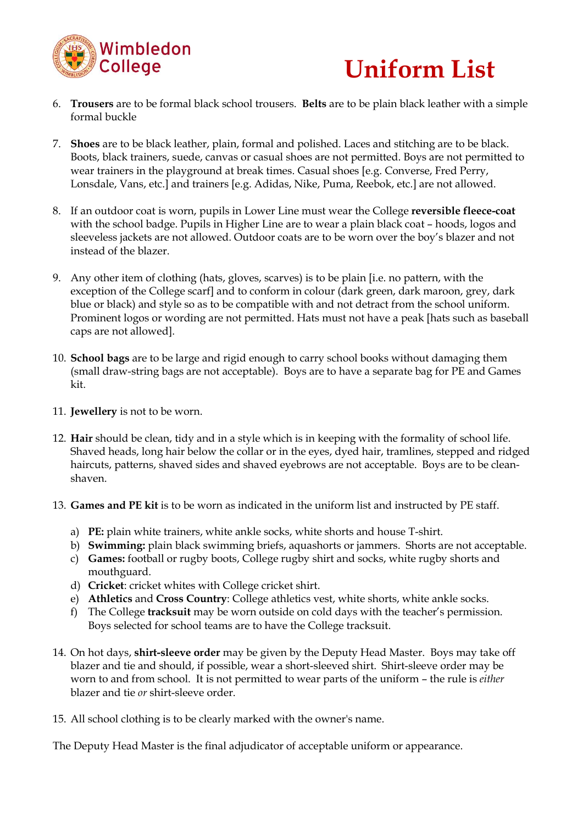

# **Uniform List**

- 6. **Trousers** are to be formal black school trousers. **Belts** are to be plain black leather with a simple formal buckle
- 7. **Shoes** are to be black leather, plain, formal and polished. Laces and stitching are to be black. Boots, black trainers, suede, canvas or casual shoes are not permitted. Boys are not permitted to wear trainers in the playground at break times. Casual shoes [e.g. Converse, Fred Perry, Lonsdale, Vans, etc.] and trainers [e.g. Adidas, Nike, Puma, Reebok, etc.] are not allowed.
- 8. If an outdoor coat is worn, pupils in Lower Line must wear the College **reversible fleece-coat** with the school badge. Pupils in Higher Line are to wear a plain black coat – hoods, logos and sleeveless jackets are not allowed. Outdoor coats are to be worn over the boy's blazer and not instead of the blazer.
- 9. Any other item of clothing (hats, gloves, scarves) is to be plain [i.e. no pattern, with the exception of the College scarf] and to conform in colour (dark green, dark maroon, grey, dark blue or black) and style so as to be compatible with and not detract from the school uniform. Prominent logos or wording are not permitted. Hats must not have a peak [hats such as baseball caps are not allowed].
- 10. **School bags** are to be large and rigid enough to carry school books without damaging them (small draw-string bags are not acceptable). Boys are to have a separate bag for PE and Games kit.
- 11. **Jewellery** is not to be worn.
- 12. **Hair** should be clean, tidy and in a style which is in keeping with the formality of school life. Shaved heads, long hair below the collar or in the eyes, dyed hair, tramlines, stepped and ridged haircuts, patterns, shaved sides and shaved eyebrows are not acceptable. Boys are to be cleanshaven.
- 13. **Games and PE kit** is to be worn as indicated in the uniform list and instructed by PE staff.
	- a) **PE:** plain white trainers, white ankle socks, white shorts and house T-shirt.
	- b) **Swimming:** plain black swimming briefs, aquashorts or jammers. Shorts are not acceptable.
	- c) **Games:** football or rugby boots, College rugby shirt and socks, white rugby shorts and mouthguard.
	- d) **Cricket**: cricket whites with College cricket shirt.
	- e) **Athletics** and **Cross Country**: College athletics vest, white shorts, white ankle socks.
	- f) The College **tracksuit** may be worn outside on cold days with the teacher's permission. Boys selected for school teams are to have the College tracksuit.
- 14. On hot days, **shirt-sleeve order** may be given by the Deputy Head Master. Boys may take off blazer and tie and should, if possible, wear a short-sleeved shirt. Shirt-sleeve order may be worn to and from school. It is not permitted to wear parts of the uniform – the rule is *either*  blazer and tie *or* shirt-sleeve order.
- 15. All school clothing is to be clearly marked with the owner's name.

The Deputy Head Master is the final adjudicator of acceptable uniform or appearance.